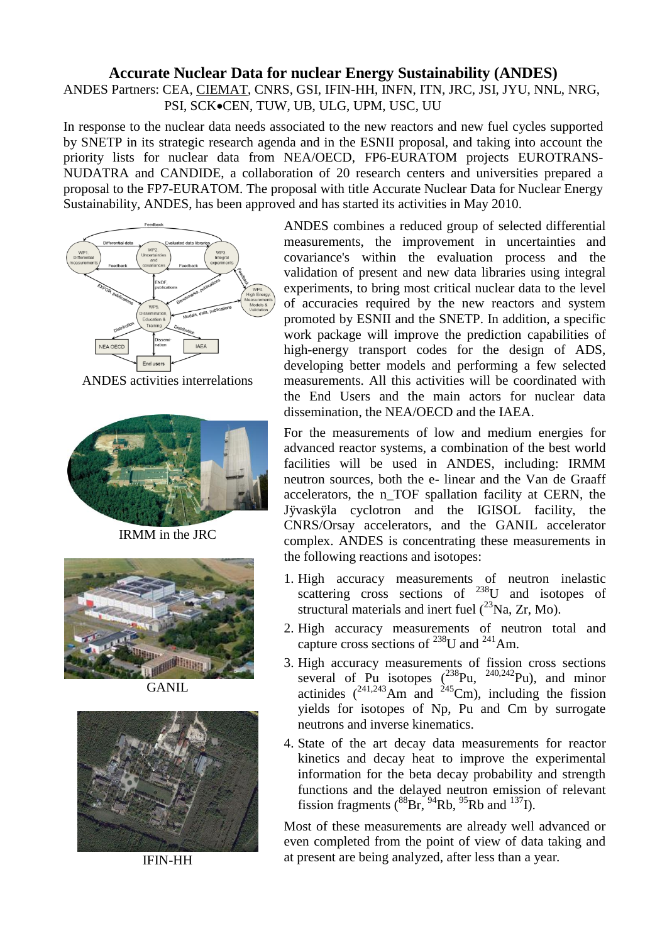## **Accurate Nuclear Data for nuclear Energy Sustainability (ANDES)**

ANDES Partners: CEA, CIEMAT, CNRS, GSI, IFIN-HH, INFN, ITN, JRC, JSI, JYU, NNL, NRG, PSI, SCK.CEN, TUW, UB, ULG, UPM, USC, UU

In response to the nuclear data needs associated to the new reactors and new fuel cycles supported by SNETP in its strategic research agenda and in the ESNII proposal, and taking into account the priority lists for nuclear data from NEA/OECD, FP6-EURATOM projects EUROTRANS-NUDATRA and CANDIDE, a collaboration of 20 research centers and universities prepared a proposal to the FP7-EURATOM. The proposal with title Accurate Nuclear Data for Nuclear Energy Sustainability, ANDES, has been approved and has started its activities in May 2010.



ANDES activities interrelations



IRMM in the JRC



**GANIL** 



IFIN-HH

ANDES combines a reduced group of selected differential measurements, the improvement in uncertainties and covariance's within the evaluation process and the validation of present and new data libraries using integral experiments, to bring most critical nuclear data to the level of accuracies required by the new reactors and system promoted by ESNII and the SNETP. In addition, a specific work package will improve the prediction capabilities of high-energy transport codes for the design of ADS, developing better models and performing a few selected measurements. All this activities will be coordinated with the End Users and the main actors for nuclear data dissemination, the NEA/OECD and the IAEA.

For the measurements of low and medium energies for advanced reactor systems, a combination of the best world facilities will be used in ANDES, including: IRMM neutron sources, both the e- linear and the Van de Graaff accelerators, the n\_TOF spallation facility at CERN, the Jÿvaskÿla cyclotron and the IGISOL facility, the CNRS/Orsay accelerators, and the GANIL accelerator complex. ANDES is concentrating these measurements in the following reactions and isotopes:

- 1. High accuracy measurements of neutron inelastic scattering cross sections of <sup>238</sup>U and isotopes of structural materials and inert fuel  $(^{23}Na, Zr, Mo)$ .
- 2. High accuracy measurements of neutron total and capture cross sections of  $^{238}$ U and  $^{241}$ Am.
- 3. High accuracy measurements of fission cross sections several of Pu isotopes  $(^{238}$ Pu,  $^{240,242}$ Pu), and minor actinides  $(^{241,243}$ Am and  $^{245}$ Cm), including the fission yields for isotopes of Np, Pu and Cm by surrogate neutrons and inverse kinematics.
- 4. State of the art decay data measurements for reactor kinetics and decay heat to improve the experimental information for the beta decay probability and strength functions and the delayed neutron emission of relevant fission fragments  $\binom{88}{3}$   $\frac{94}{3}$  Rb,  $\binom{95}{3}$  Rb and  $\binom{137}{1}$ .

Most of these measurements are already well advanced or even completed from the point of view of data taking and at present are being analyzed, after less than a year.